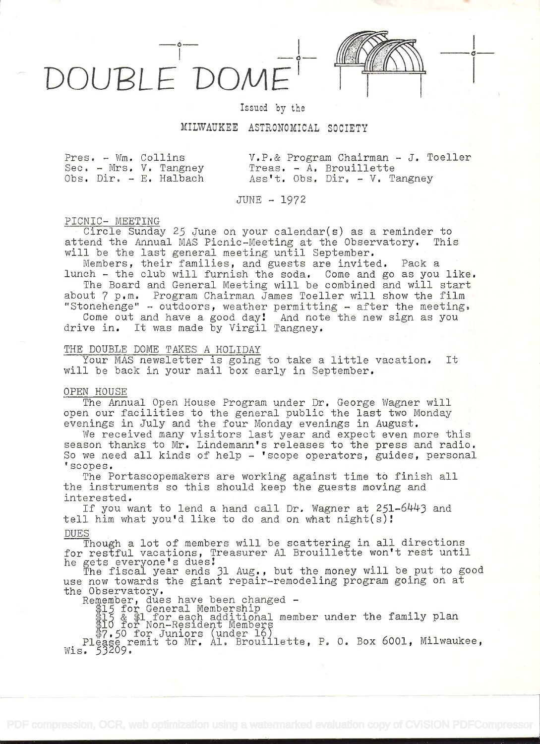OUBLE DON

 $\frac{1}{\circ}$ 

Issued by the

# MILWAUKEE ASTRONOMICAL SOCIETY

Sec. - Mrs. V. Tangney<br>Obs. Dir. - E. Halbach

Fres, - A[m, Collins V.P.& Program Chairman - J. Toeller Ass't. Obs. Dir. - V. Tangney

 $JUNE - 1972$ 

## PICNIC- MEETING

Circle Sunday 25 June on your calendar(s) as a reminder to<br>end the Annual MAS Picnic-Meeting at the Observatory. This attend the Annual MAS Picnic-Meeting at the Observatory. will be the last general meeting until September.

Members, their families, and guests are invited. Pack a lunch - the club will furnish the soda. Come and go as you like.

The Board and General Meeting will be combined and will start about 7 p.m. Program Chairman James Toeller will show the film

"Stonehenge" - outdoors, weather permitting - after the meeting.  $\overline{\phantom{a}}$ Come out and have a good day! And note the new sign as you drive in. It was made by Virgil Tangney.

## THE DOUBLE DOME TAKES A HOLIDAY

Your MAS newsletter is going to take a little vacation. It will be back in your mail box early in September.

## OPEN HOUSE

The Annual Open House Program under Dr. George Wagner will open our facilities to the general public the last two Monday evenings in July and the four Monday evenings in August.

We received many visitors last year and expect even more this season thanks to Mr. Lindemann's releases to the press and radio. So we need all kinds of help - 'scope operators, guides, personal <sup>t</sup>scopes.

The Portascopemakers are working against time tó finish all the instruments so this should keep the guests moving and interested.

If you want to lend a hand call Dr. Wagner at  $251-6443$  and tell him what you'd like to do and on what night(s)

DUES<br>Though a lot of members will be scattering in all directions for restful vacations, Treasurer Al Brouillette won't rest until he gets everyone's dues

The fiscal year ends 31 Aug. , but the money will be put to good use now towards the giant repair-remodeling program going on at the Observatory.

Remember, dues have been changed –<br>\$15 for General Membership

\$15 & \$1 for each additional member under the family plan<br>\$10 for Non-Resident Members

7.5O for Juniors (under 16)

Please remit to Mr. Al. Brouillette, P. O. Box 6001, Milwaukee, Wis. 53209.